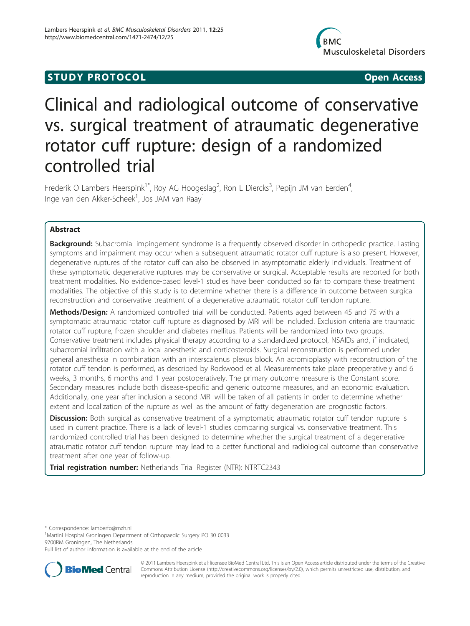# **STUDY PROTOCOL** And the state of the state of the state of the state of the state of the state of the state of the state of the state of the state of the state of the state of the state of the state of the state of the st



# Clinical and radiological outcome of conservative vs. surgical treatment of atraumatic degenerative rotator cuff rupture: design of a randomized controlled trial

Frederik O Lambers Heerspink<sup>1\*</sup>, Roy AG Hoogeslag<sup>2</sup>, Ron L Diercks<sup>3</sup>, Pepijn JM van Eerden<sup>4</sup> , Inge van den Akker-Scheek<sup>1</sup>, Jos JAM van Raay<sup>1</sup>

# Abstract

**Background:** Subacromial impingement syndrome is a frequently observed disorder in orthopedic practice. Lasting symptoms and impairment may occur when a subsequent atraumatic rotator cuff rupture is also present. However, degenerative ruptures of the rotator cuff can also be observed in asymptomatic elderly individuals. Treatment of these symptomatic degenerative ruptures may be conservative or surgical. Acceptable results are reported for both treatment modalities. No evidence-based level-1 studies have been conducted so far to compare these treatment modalities. The objective of this study is to determine whether there is a difference in outcome between surgical reconstruction and conservative treatment of a degenerative atraumatic rotator cuff tendon rupture.

Methods/Design: A randomized controlled trial will be conducted. Patients aged between 45 and 75 with a symptomatic atraumatic rotator cuff rupture as diagnosed by MRI will be included. Exclusion criteria are traumatic rotator cuff rupture, frozen shoulder and diabetes mellitus. Patients will be randomized into two groups. Conservative treatment includes physical therapy according to a standardized protocol, NSAIDs and, if indicated, subacromial infiltration with a local anesthetic and corticosteroids. Surgical reconstruction is performed under general anesthesia in combination with an interscalenus plexus block. An acromioplasty with reconstruction of the rotator cuff tendon is performed, as described by Rockwood et al. Measurements take place preoperatively and 6 weeks, 3 months, 6 months and 1 year postoperatively. The primary outcome measure is the Constant score. Secondary measures include both disease-specific and generic outcome measures, and an economic evaluation. Additionally, one year after inclusion a second MRI will be taken of all patients in order to determine whether extent and localization of the rupture as well as the amount of fatty degeneration are prognostic factors.

Discussion: Both surgical as conservative treatment of a symptomatic atraumatic rotator cuff tendon rupture is used in current practice. There is a lack of level-1 studies comparing surgical vs. conservative treatment. This randomized controlled trial has been designed to determine whether the surgical treatment of a degenerative atraumatic rotator cuff tendon rupture may lead to a better functional and radiological outcome than conservative treatment after one year of follow-up.

**Trial registration number:** Netherlands Trial Register (NTR): [NTRTC2343](http://www.trialregister.nl/trialreg/admin/rctview.asp?TC=2343)

\* Correspondence: [lamberfo@mzh.nl](mailto:lamberfo@mzh.nl)

<sup>1</sup>Martini Hospital Groningen Department of Orthopaedic Surgery PO 30 0033 9700RM Groningen, The Netherlands

Full list of author information is available at the end of the article



© 2011 Lambers Heerspink et al; licensee BioMed Central Ltd. This is an Open Access article distributed under the terms of the Creative Commons Attribution License [\(http://creativecommons.org/licenses/by/2.0](http://creativecommons.org/licenses/by/2.0)), which permits unrestricted use, distribution, and reproduction in any medium, provided the original work is properly cited.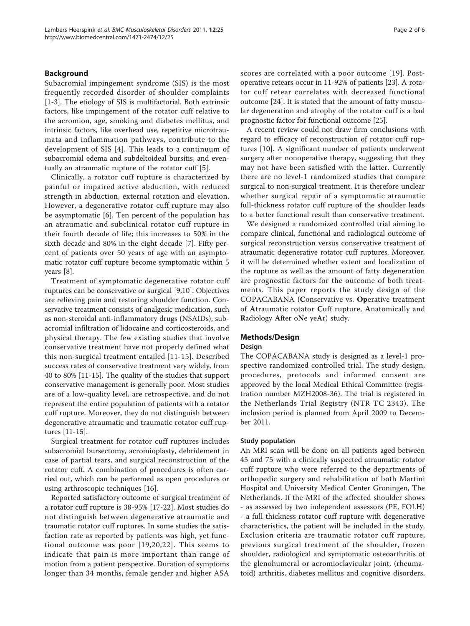#### Background

Subacromial impingement syndrome (SIS) is the most frequently recorded disorder of shoulder complaints [[1-3](#page-4-0)]. The etiology of SIS is multifactorial. Both extrinsic factors, like impingement of the rotator cuff relative to the acromion, age, smoking and diabetes mellitus, and intrinsic factors, like overhead use, repetitive microtraumata and inflammation pathways, contribute to the development of SIS [[4\]](#page-5-0). This leads to a continuum of subacromial edema and subdeltoideal bursitis, and eventually an atraumatic rupture of the rotator cuff [\[5](#page-5-0)].

Clinically, a rotator cuff rupture is characterized by painful or impaired active abduction, with reduced strength in abduction, external rotation and elevation. However, a degenerative rotator cuff rupture may also be asymptomatic [[6\]](#page-5-0). Ten percent of the population has an atraumatic and subclinical rotator cuff rupture in their fourth decade of life; this increases to 50% in the sixth decade and 80% in the eight decade [[7\]](#page-5-0). Fifty percent of patients over 50 years of age with an asymptomatic rotator cuff rupture become symptomatic within 5 years [[8](#page-5-0)].

Treatment of symptomatic degenerative rotator cuff ruptures can be conservative or surgical [[9,10](#page-5-0)]. Objectives are relieving pain and restoring shoulder function. Conservative treatment consists of analgesic medication, such as non-steroidal anti-inflammatory drugs (NSAIDs), subacromial infiltration of lidocaine and corticosteroids, and physical therapy. The few existing studies that involve conservative treatment have not properly defined what this non-surgical treatment entailed [[11-15\]](#page-5-0). Described success rates of conservative treatment vary widely, from 40 to 80% [[11-15\]](#page-5-0). The quality of the studies that support conservative management is generally poor. Most studies are of a low-quality level, are retrospective, and do not represent the entire population of patients with a rotator cuff rupture. Moreover, they do not distinguish between degenerative atraumatic and traumatic rotator cuff ruptures [[11-15\]](#page-5-0).

Surgical treatment for rotator cuff ruptures includes subacromial bursectomy, acromioplasty, debridement in case of partial tears, and surgical reconstruction of the rotator cuff. A combination of procedures is often carried out, which can be performed as open procedures or using arthroscopic techniques [[16](#page-5-0)].

Reported satisfactory outcome of surgical treatment of a rotator cuff rupture is 38-95% [\[17](#page-5-0)-[22\]](#page-5-0). Most studies do not distinguish between degenerative atraumatic and traumatic rotator cuff ruptures. In some studies the satisfaction rate as reported by patients was high, yet functional outcome was poor [[19,20](#page-5-0),[22](#page-5-0)]. This seems to indicate that pain is more important than range of motion from a patient perspective. Duration of symptoms longer than 34 months, female gender and higher ASA

scores are correlated with a poor outcome [[19](#page-5-0)]. Postoperative retears occur in 11-92% of patients [\[23](#page-5-0)]. A rotator cuff retear correlates with decreased functional outcome [\[24\]](#page-5-0). It is stated that the amount of fatty muscular degeneration and atrophy of the rotator cuff is a bad prognostic factor for functional outcome [[25\]](#page-5-0).

A recent review could not draw firm conclusions with regard to efficacy of reconstruction of rotator cuff ruptures [[10\]](#page-5-0). A significant number of patients underwent surgery after nonoperative therapy, suggesting that they may not have been satisfied with the latter. Currently there are no level-1 randomized studies that compare surgical to non-surgical treatment. It is therefore unclear whether surgical repair of a symptomatic atraumatic full-thickness rotator cuff rupture of the shoulder leads to a better functional result than conservative treatment.

We designed a randomized controlled trial aiming to compare clinical, functional and radiological outcome of surgical reconstruction versus conservative treatment of atraumatic degenerative rotator cuff ruptures. Moreover, it will be determined whether extent and localization of the rupture as well as the amount of fatty degeneration are prognostic factors for the outcome of both treatments. This paper reports the study design of the COPACABANA (Conservative vs. Operative treatment of Atraumatic rotator Cuff rupture, Anatomically and Radiology After oNe yeAr) study.

#### Methods/Design

#### Design

The COPACABANA study is designed as a level-1 prospective randomized controlled trial. The study design, procedures, protocols and informed consent are approved by the local Medical Ethical Committee (registration number MZH2008-36). The trial is registered in the Netherlands Trial Registry (NTR TC 2343). The inclusion period is planned from April 2009 to December 2011.

#### Study population

An MRI scan will be done on all patients aged between 45 and 75 with a clinically suspected atraumatic rotator cuff rupture who were referred to the departments of orthopedic surgery and rehabilitation of both Martini Hospital and University Medical Center Groningen, The Netherlands. If the MRI of the affected shoulder shows - as assessed by two independent assessors (PE, FOLH) - a full thickness rotator cuff rupture with degenerative characteristics, the patient will be included in the study. Exclusion criteria are traumatic rotator cuff rupture, previous surgical treatment of the shoulder, frozen shoulder, radiological and symptomatic osteoarthritis of the glenohumeral or acromioclavicular joint, (rheumatoid) arthritis, diabetes mellitus and cognitive disorders,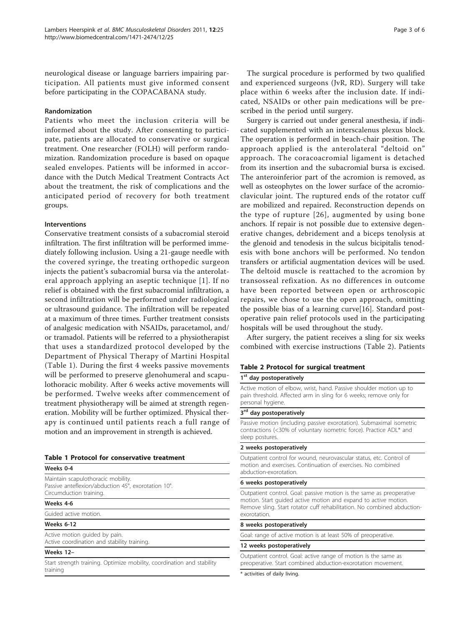<span id="page-2-0"></span>neurological disease or language barriers impairing participation. All patients must give informed consent before participating in the COPACABANA study.

#### Randomization

Patients who meet the inclusion criteria will be informed about the study. After consenting to participate, patients are allocated to conservative or surgical treatment. One researcher (FOLH) will perform randomization. Randomization procedure is based on opaque sealed envelopes. Patients will be informed in accordance with the Dutch Medical Treatment Contracts Act about the treatment, the risk of complications and the anticipated period of recovery for both treatment groups.

### Interventions

Conservative treatment consists of a subacromial steroid infiltration. The first infiltration will be performed immediately following inclusion. Using a 21-gauge needle with the covered syringe, the treating orthopedic surgeon injects the patient's subacromial bursa via the anterolateral approach applying an aseptic technique [[1\]](#page-4-0). If no relief is obtained with the first subacromial infiltration, a second infiltration will be performed under radiological or ultrasound guidance. The infiltration will be repeated at a maximum of three times. Further treatment consists of analgesic medication with NSAIDs, paracetamol, and/ or tramadol. Patients will be referred to a physiotherapist that uses a standardized protocol developed by the Department of Physical Therapy of Martini Hospital (Table 1). During the first 4 weeks passive movements will be performed to preserve glenohumeral and scapulothoracic mobility. After 6 weeks active movements will be performed. Twelve weeks after commencement of treatment physiotherapy will be aimed at strength regeneration. Mobility will be further optimized. Physical therapy is continued until patients reach a full range of motion and an improvement in strength is achieved.

#### Table 1 Protocol for conservative treatment

## Weeks 0-4

Maintain scapulothoracic mobility. Passive anteflexion/abduction 45°, exorotation 10°. Circumduction training.

#### Weeks 4-6

Guided active motion.

#### Weeks 6-12

Active motion guided by pain. Active coordination and stability training.

#### Weeks 12–

Start strength training. Optimize mobility, coordination and stability training

The surgical procedure is performed by two qualified and experienced surgeons (JvR, RD). Surgery will take place within 6 weeks after the inclusion date. If indicated, NSAIDs or other pain medications will be prescribed in the period until surgery.

Surgery is carried out under general anesthesia, if indicated supplemented with an interscalenus plexus block. The operation is performed in beach-chair position. The approach applied is the anterolateral "deltoid on" approach. The coracoacromial ligament is detached from its insertion and the subacromial bursa is excised. The anteroinferior part of the acromion is removed, as well as osteophytes on the lower surface of the acromioclavicular joint. The ruptured ends of the rotator cuff are mobilized and repaired. Reconstruction depends on the type of rupture [[26](#page-5-0)], augmented by using bone anchors. If repair is not possible due to extensive degenerative changes, debridement and a biceps tenolysis at the glenoid and tenodesis in the sulcus bicipitalis tenodesis with bone anchors will be performed. No tendon transfers or artificial augmentation devices will be used. The deltoid muscle is reattached to the acromion by transosseal refixation. As no differences in outcome have been reported between open or arthroscopic repairs, we chose to use the open approach, omitting the possible bias of a learning curve[[16\]](#page-5-0). Standard postoperative pain relief protocols used in the participating hospitals will be used throughout the study.

After surgery, the patient receives a sling for six weeks combined with exercise instructions (Table 2). Patients

#### Table 2 Protocol for surgical treatment

#### 1<sup>st</sup> day postoperatively

Active motion of elbow, wrist, hand. Passive shoulder motion up to pain threshold. Affected arm in sling for 6 weeks; remove only for personal hygiene.

# $3<sup>rd</sup>$  day postoperatively

Passive motion (including passive exorotation). Submaximal isometric contractions (<30% of voluntary isometric force). Practice ADL\* and sleep postures.

#### 2 weeks postoperatively

Outpatient control for wound, neurovascular status, etc. Control of motion and exercises. Continuation of exercises. No combined abduction-exorotation.

#### 6 weeks postoperatively

Outpatient control. Goal: passive motion is the same as preoperative motion. Start guided active motion and expand to active motion. Remove sling. Start rotator cuff rehabilitation. No combined abductionexorotation.

#### 8 weeks postoperatively

Goal: range of active motion is at least 50% of preoperative.

#### 12 weeks postoperatively

Outpatient control. Goal: active range of motion is the same as preoperative. Start combined abduction-exorotation movement.

\* activities of daily living.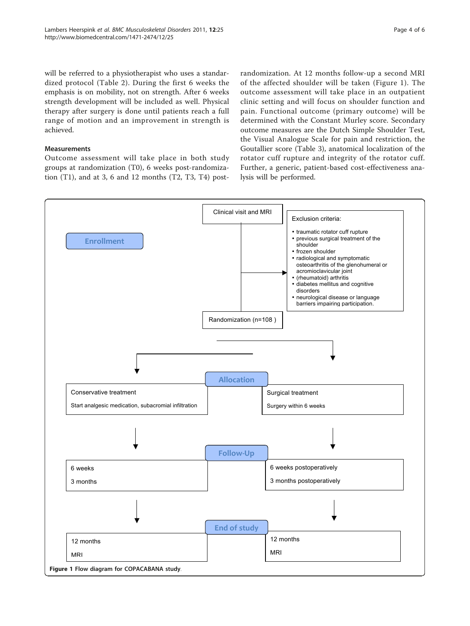will be referred to a physiotherapist who uses a standardized protocol (Table [2\)](#page-2-0). During the first 6 weeks the emphasis is on mobility, not on strength. After 6 weeks strength development will be included as well. Physical therapy after surgery is done until patients reach a full range of motion and an improvement in strength is achieved.

# Measurements

Outcome assessment will take place in both study groups at randomization (T0), 6 weeks post-randomization (T1), and at 3, 6 and 12 months (T2, T3, T4) postrandomization. At 12 months follow-up a second MRI of the affected shoulder will be taken (Figure 1). The outcome assessment will take place in an outpatient clinic setting and will focus on shoulder function and pain. Functional outcome (primary outcome) will be determined with the Constant Murley score. Secondary outcome measures are the Dutch Simple Shoulder Test, the Visual Analogue Scale for pain and restriction, the Goutallier score (Table [3](#page-4-0)), anatomical localization of the rotator cuff rupture and integrity of the rotator cuff. Further, a generic, patient-based cost-effectiveness analysis will be performed.

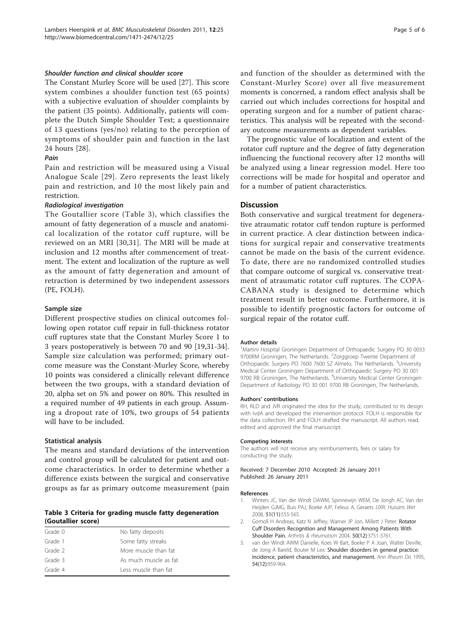#### <span id="page-4-0"></span>Shoulder function and clinical shoulder score

The Constant Murley Score will be used [[27](#page-5-0)]. This score system combines a shoulder function test (65 points) with a subjective evaluation of shoulder complaints by the patient (35 points). Additionally, patients will complete the Dutch Simple Shoulder Test; a questionnaire of 13 questions (yes/no) relating to the perception of symptoms of shoulder pain and function in the last 24 hours [\[28\]](#page-5-0).

### Pain

Pain and restriction will be measured using a Visual Analogue Scale [[29](#page-5-0)]. Zero represents the least likely pain and restriction, and 10 the most likely pain and restriction.

#### Radiological investigation

The Goutallier score (Table 3), which classifies the amount of fatty degeneration of a muscle and anatomical localization of the rotator cuff rupture, will be reviewed on an MRI [[30,31](#page-5-0)]. The MRI will be made at inclusion and 12 months after commencement of treatment. The extent and localization of the rupture as well as the amount of fatty degeneration and amount of retraction is determined by two independent assessors (PE, FOLH).

#### Sample size

Different prospective studies on clinical outcomes following open rotator cuff repair in full-thickness rotator cuff ruptures state that the Constant Murley Score 1 to 3 years postoperatively is between 70 and 90 [[19,31-34](#page-5-0)]. Sample size calculation was performed; primary outcome measure was the Constant-Murley Score, whereby 10 points was considered a clinically relevant difference between the two groups, with a standard deviation of 20, alpha set on 5% and power on 80%. This resulted in a required number of 49 patients in each group. Assuming a dropout rate of 10%, two groups of 54 patients will have to be included.

#### Statistical analysis

The means and standard deviations of the intervention and control group will be calculated for patient and outcome characteristics. In order to determine whether a difference exists between the surgical and conservative groups as far as primary outcome measurement (pain

#### Table 3 Criteria for grading muscle fatty degeneration (Goutallier score)

| Grade 0 | No fatty deposits     |
|---------|-----------------------|
| Grade 1 | Some fatty streaks    |
| Grade 2 | More muscle than fat  |
| Grade 3 | As much muscle as fat |
| Grade 4 | Less muscle than fat  |

and function of the shoulder as determined with the Constant-Murley Score) over all five measurement moments is concerned, a random effect analysis shall be carried out which includes corrections for hospital and operating surgeon and for a number of patient characteristics. This analysis will be repeated with the secondary outcome measurements as dependent variables.

The prognostic value of localization and extent of the rotator cuff rupture and the degree of fatty degeneration influencing the functional recovery after 12 months will be analyzed using a linear regression model. Here too corrections will be made for hospital and operator and for a number of patient characteristics.

#### **Discussion**

Both conservative and surgical treatment for degenerative atraumatic rotator cuff tendon rupture is performed in current practice. A clear distinction between indications for surgical repair and conservative treatments cannot be made on the basis of the current evidence. To date, there are no randomized controlled studies that compare outcome of surgical vs. conservative treatment of atraumatic rotator cuff ruptures. The COPA-CABANA study is designed to determine which treatment result in better outcome. Furthermore, it is possible to identify prognostic factors for outcome of surgical repair of the rotator cuff.

#### Author details

<sup>1</sup>Martini Hospital Groningen Department of Orthopaedic Surgery PO 30 0033 9700RM Groningen, The Netherlands. <sup>2</sup>Zorggroep Twente Department of Orthopaedic Surgery PO 7600 7600 SZ Almelo, The Netherlands. <sup>3</sup>University Medical Center Groningen Department of Orthopaedic Surgery PO 30 001 9700 RB Groningen, The Netherlands. <sup>4</sup>University Medical Center Groningen Department of Radiology PO 30 001 9700 RB Groningen, The Netherlands.

#### Authors' contributions

RH, RLD and JVR originated the idea for the study, contributed to its design with IvdA and developed the intervention protocol. FOLH is responsible for the data collection. RH and FOLH drafted the manuscript. All authors read, edited and approved the final manuscript.

#### Competing interests

The authors will not receive any reimbursements, fees or salary for conducting the study.

Received: 7 December 2010 Accepted: 26 January 2011 Published: 26 January 2011

#### References

- 1. Winters JC, Van der Windt DAWM, Spinnewijn WEM, De Jongh AC, Van der Heijden GJMG, Buis PAJ, Boeke AJP, Feleus A, Geraets JJXR: Huisarts Wet 2008, 51(11):555-565.
- Gomoll H Andreas, Katz N Jeffrey, Warner JP Jon, Millett J Peter: Rotator Cuff Disorders Recognition and Management Among Patients With Shoulder Pain. Arthritis & rheumatism 2004, 50(12):3751-3761.
- 3. van der Windt AWM Danielle, Koes W Bart, Boeke P A Joan, Walter Deville, de Jong A Bareld, Bouter M Lex: [Shoulder disorders in general practice:](http://www.ncbi.nlm.nih.gov/pubmed/8546527?dopt=Abstract) [incidence, patient characteristics, and management.](http://www.ncbi.nlm.nih.gov/pubmed/8546527?dopt=Abstract) Ann Rheum Dis 1995, 54(12):959-964.